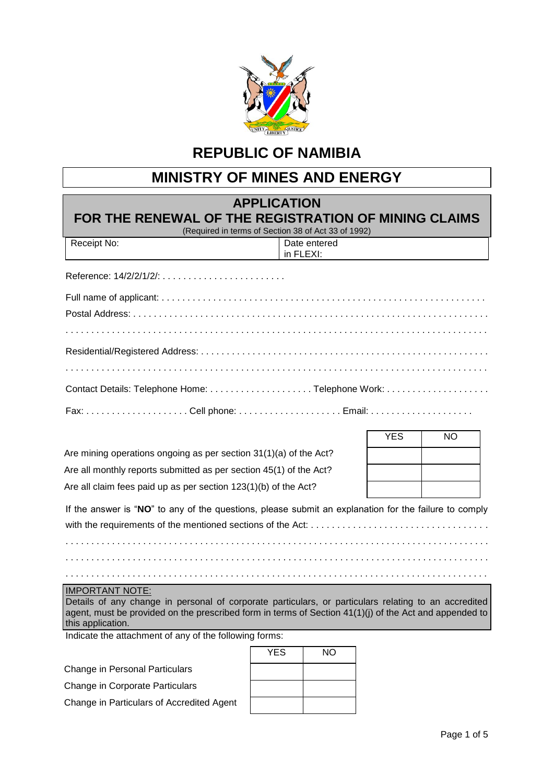

## **REPUBLIC OF NAMIBIA**

## **MINISTRY OF MINES AND ENERGY**

| <b>APPLICATION</b><br>FOR THE RENEWAL OF THE REGISTRATION OF MINING CLAIMS<br>(Required in terms of Section 38 of Act 33 of 1992)                                                                                                                             |            |                           |            |    |
|---------------------------------------------------------------------------------------------------------------------------------------------------------------------------------------------------------------------------------------------------------------|------------|---------------------------|------------|----|
| Receipt No:                                                                                                                                                                                                                                                   |            | Date entered<br>in FLEXI: |            |    |
|                                                                                                                                                                                                                                                               |            |                           |            |    |
|                                                                                                                                                                                                                                                               |            |                           |            |    |
|                                                                                                                                                                                                                                                               |            |                           |            |    |
|                                                                                                                                                                                                                                                               |            |                           |            |    |
|                                                                                                                                                                                                                                                               |            |                           |            |    |
|                                                                                                                                                                                                                                                               |            |                           |            |    |
| Fax: Cell phone:  Email:                                                                                                                                                                                                                                      |            |                           |            |    |
|                                                                                                                                                                                                                                                               |            |                           | <b>YES</b> | NO |
| Are mining operations ongoing as per section 31(1)(a) of the Act?                                                                                                                                                                                             |            |                           |            |    |
| Are all monthly reports submitted as per section 45(1) of the Act?                                                                                                                                                                                            |            |                           |            |    |
| Are all claim fees paid up as per section 123(1)(b) of the Act?                                                                                                                                                                                               |            |                           |            |    |
| If the answer is "NO" to any of the questions, please submit an explanation for the failure to comply                                                                                                                                                         |            |                           |            |    |
|                                                                                                                                                                                                                                                               |            |                           |            |    |
|                                                                                                                                                                                                                                                               |            |                           |            |    |
|                                                                                                                                                                                                                                                               |            |                           |            |    |
| <b>IMPORTANT NOTE:</b><br>Details of any change in personal of corporate particulars, or particulars relating to an accredited<br>agent, must be provided on the prescribed form in terms of Section 41(1)(j) of the Act and appended to<br>this application. |            |                           |            |    |
| Indicate the attachment of any of the following forms:                                                                                                                                                                                                        |            |                           |            |    |
|                                                                                                                                                                                                                                                               | <b>YES</b> | <b>NO</b>                 |            |    |
| Change in Personal Particulars                                                                                                                                                                                                                                |            |                           |            |    |
| Change in Corporate Particulars                                                                                                                                                                                                                               |            |                           |            |    |

Change in Particulars of Accredited Agent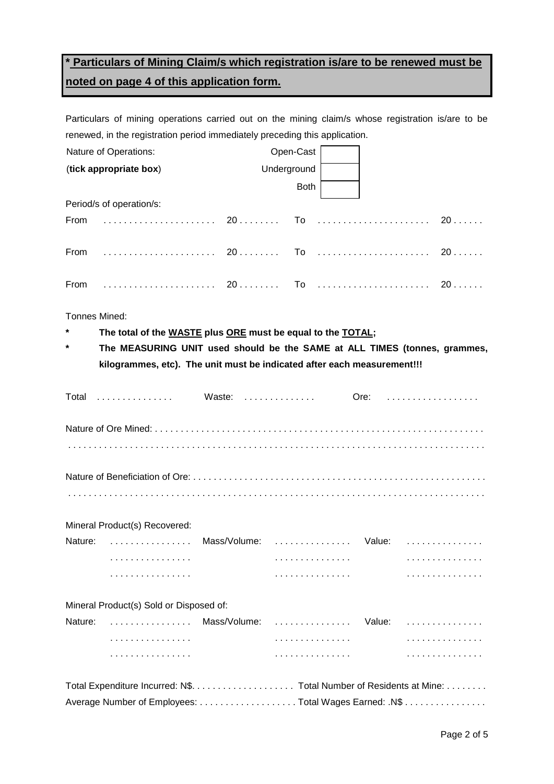## **\* Particulars of Mining Claim/s which registration is/are to be renewed must be noted on page 4 of this application form.**

Particulars of mining operations carried out on the mining claim/s whose registration is/are to be renewed, in the registration period immediately preceding this application.

| Nature of Operations:<br>Open-Cast                                             |             |  |  |  |  |  |
|--------------------------------------------------------------------------------|-------------|--|--|--|--|--|
| (tick appropriate box)<br>Underground                                          |             |  |  |  |  |  |
| <b>Both</b>                                                                    |             |  |  |  |  |  |
| Period/s of operation/s:                                                       |             |  |  |  |  |  |
| $From \dots \dots \dots \dots \dots \dots \dots \dots$<br>20                   | To  20      |  |  |  |  |  |
|                                                                                |             |  |  |  |  |  |
| From                                                                           |             |  |  |  |  |  |
| Tonnes Mined:                                                                  |             |  |  |  |  |  |
| The total of the WASTE plus ORE must be equal to the TOTAL;                    |             |  |  |  |  |  |
| *<br>The MEASURING UNIT used should be the SAME at ALL TIMES (tonnes, grammes, |             |  |  |  |  |  |
| kilogrammes, etc). The unit must be indicated after each measurement!!!        |             |  |  |  |  |  |
|                                                                                |             |  |  |  |  |  |
| Total  Waste:  Ore:                                                            |             |  |  |  |  |  |
|                                                                                |             |  |  |  |  |  |
|                                                                                |             |  |  |  |  |  |
|                                                                                |             |  |  |  |  |  |
|                                                                                |             |  |  |  |  |  |
| Mineral Product(s) Recovered:                                                  |             |  |  |  |  |  |
|                                                                                |             |  |  |  |  |  |
| Mass/Volume:  Value:<br>Nature:                                                |             |  |  |  |  |  |
|                                                                                |             |  |  |  |  |  |
| .<br>.                                                                         |             |  |  |  |  |  |
| Mineral Product(s) Sold or Disposed of:                                        |             |  |  |  |  |  |
| Nature:<br>Mass/Volume:<br>.<br>.                                              | Value:<br>. |  |  |  |  |  |
|                                                                                |             |  |  |  |  |  |

| Total Expenditure Incurred: N\$. Total Number of Residents at Mine: |  |
|---------------------------------------------------------------------|--|
| Average Number of Employees: Total Wages Earned: .N\$               |  |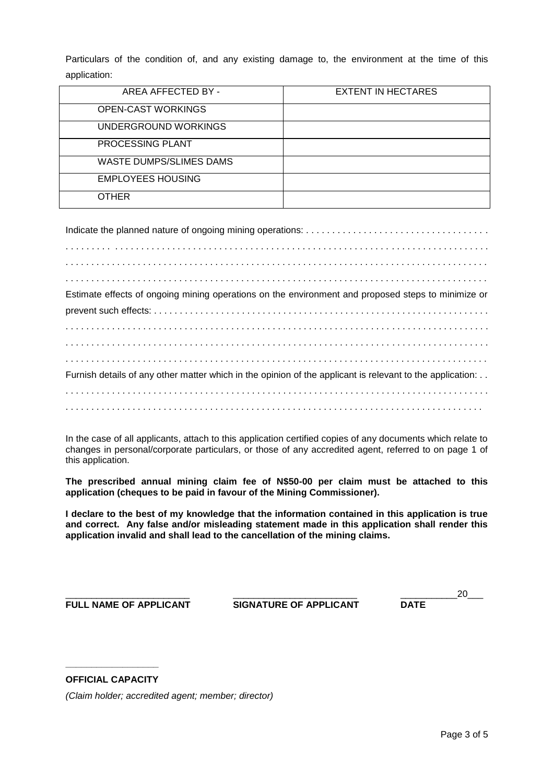Particulars of the condition of, and any existing damage to, the environment at the time of this application:

| AREA AFFECTED BY -             | <b>EXTENT IN HECTARES</b> |
|--------------------------------|---------------------------|
| <b>OPEN-CAST WORKINGS</b>      |                           |
| UNDERGROUND WORKINGS           |                           |
| PROCESSING PLANT               |                           |
| <b>WASTE DUMPS/SLIMES DAMS</b> |                           |
| <b>EMPLOYEES HOUSING</b>       |                           |
| <b>OTHER</b>                   |                           |

| Estimate effects of ongoing mining operations on the environment and proposed steps to minimize or        |
|-----------------------------------------------------------------------------------------------------------|
|                                                                                                           |
|                                                                                                           |
|                                                                                                           |
|                                                                                                           |
| Furnish details of any other matter which in the opinion of the applicant is relevant to the application: |
|                                                                                                           |
|                                                                                                           |

In the case of all applicants, attach to this application certified copies of any documents which relate to changes in personal/corporate particulars, or those of any accredited agent, referred to on page 1 of this application.

**The prescribed annual mining claim fee of N\$50-00 per claim must be attached to this application (cheques to be paid in favour of the Mining Commissioner).**

**I declare to the best of my knowledge that the information contained in this application is true and correct. Any false and/or misleading statement made in this application shall render this application invalid and shall lead to the cancellation of the mining claims.**

**FULL NAME OF APPLICANT SIGNATURE OF APPLICANT DATE**

\_\_\_\_\_\_\_\_\_\_\_\_\_\_\_\_\_\_\_\_\_\_\_\_ \_\_\_\_\_\_\_\_\_\_\_\_\_\_\_\_\_\_\_\_\_\_\_\_ \_\_\_\_\_\_\_\_\_\_\_20\_\_\_

## **\_\_\_\_\_\_\_\_\_\_\_\_\_\_\_\_\_\_ OFFICIAL CAPACITY**

*(Claim holder; accredited agent; member; director)*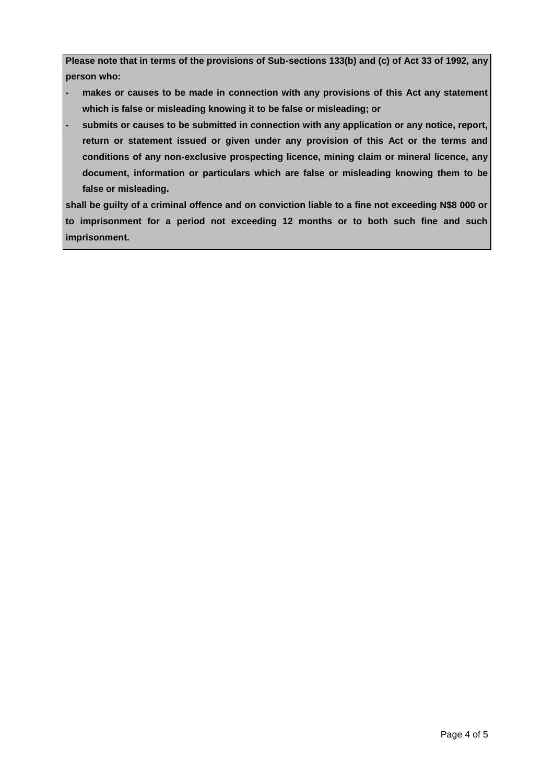**Please note that in terms of the provisions of Sub-sections 133(b) and (c) of Act 33 of 1992***,* **any person who:**

- **- makes or causes to be made in connection with any provisions of this Act any statement which is false or misleading knowing it to be false or misleading; or**
- **- submits or causes to be submitted in connection with any application or any notice, report, return or statement issued or given under any provision of this Act or the terms and conditions of any non-exclusive prospecting licence, mining claim or mineral licence, any document, information or particulars which are false or misleading knowing them to be false or misleading.**

**shall be guilty of a criminal offence and on conviction liable to a fine not exceeding N\$8 000 or to imprisonment for a period not exceeding 12 months or to both such fine and such imprisonment.**